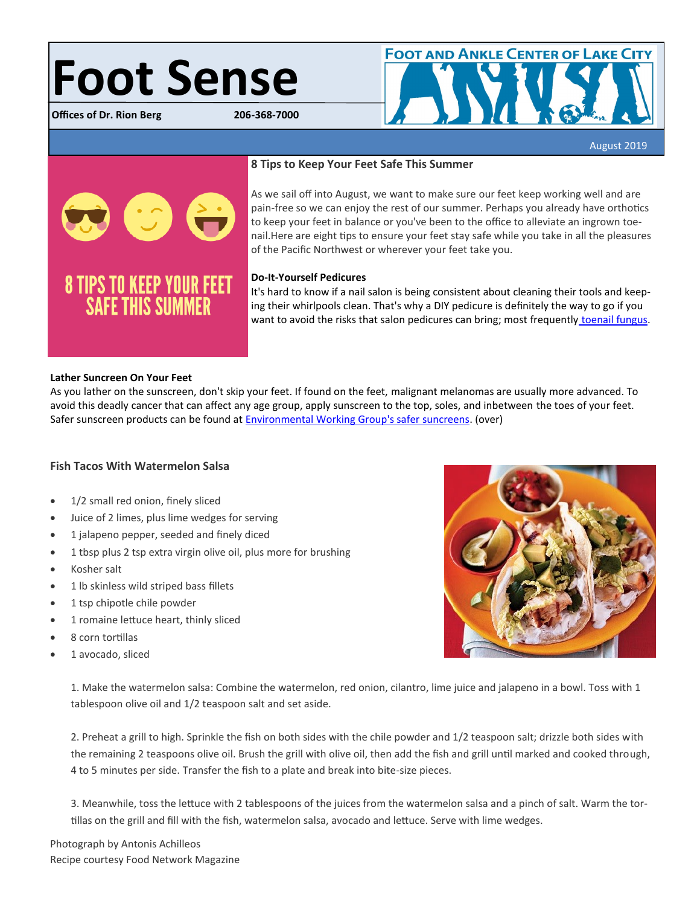# **Foot Sense**

**Offices of Dr. Rion Berg** 



August 2019



**8 TIPS TO KEEP YOUR FEET**<br>SAFE THIS SUMMER

# **8 Tips to Keep Your Feet Safe This Summer**

As we sail off into August, we want to make sure our feet keep working well and are pain-free so we can enjoy the rest of our summer. Perhaps you already have orthotics to keep your feet in balance or you've been to the office to alleviate an ingrown toenail.Here are eight tips to ensure your feet stay safe while you take in all the pleasures of the Pacific Northwest or wherever your feet take you.

# **Do-It-Yourself Pedicures**

It's hard to know if a nail salon is being consistent about cleaning their tools and keeping their whirlpools clean. That's why a DIY pedicure is definitely the way to go if you want to avoid the risks that salon pedicures can bring; most frequently [toenail fungus.](https://www.bergdpm.com/ftt.html)

## **Lather Suncreen On Your Feet**

As you lather on the sunscreen, don't skip your feet. If found on the feet, malignant melanomas are usually more advanced. To avoid this deadly cancer that can affect any age group, apply sunscreen to the top, soles, and inbetween the toes of your feet. Safer sunscreen products can be found at [Environmental Working Group's safer suncreens.](https://www.ewg.org/sunscreen/best-sunscreens/best-beach-sport-sunscreens/) (over)

# **Fish Tacos With Watermelon Salsa**

- 1/2 small red onion, finely sliced
- Juice of 2 limes, plus lime wedges for serving
- 1 jalapeno pepper, seeded and finely diced
- 1 tbsp plus 2 tsp extra virgin olive oil, plus more for brushing
- Kosher salt
- 1 lb skinless wild striped bass fillets
- 1 tsp chipotle chile powder
- 1 romaine lettuce heart, thinly sliced
- 8 corn tortillas
- 1 avocado, sliced



1. Make the watermelon salsa: Combine the watermelon, red onion, cilantro, lime juice and jalapeno in a bowl. Toss with 1 tablespoon olive oil and 1/2 teaspoon salt and set aside.

2. Preheat a grill to high. Sprinkle the fish on both sides with the chile powder and 1/2 teaspoon salt; drizzle both sides with the remaining 2 teaspoons olive oil. Brush the grill with olive oil, then add the fish and grill until marked and cooked through, 4 to 5 minutes per side. Transfer the fish to a plate and break into bite-size pieces.

3. Meanwhile, toss the lettuce with 2 tablespoons of the juices from the watermelon salsa and a pinch of salt. Warm the tortillas on the grill and fill with the fish, watermelon salsa, avocado and lettuce. Serve with lime wedges.

Photograph by Antonis Achilleos Recipe courtesy Food Network Magazine